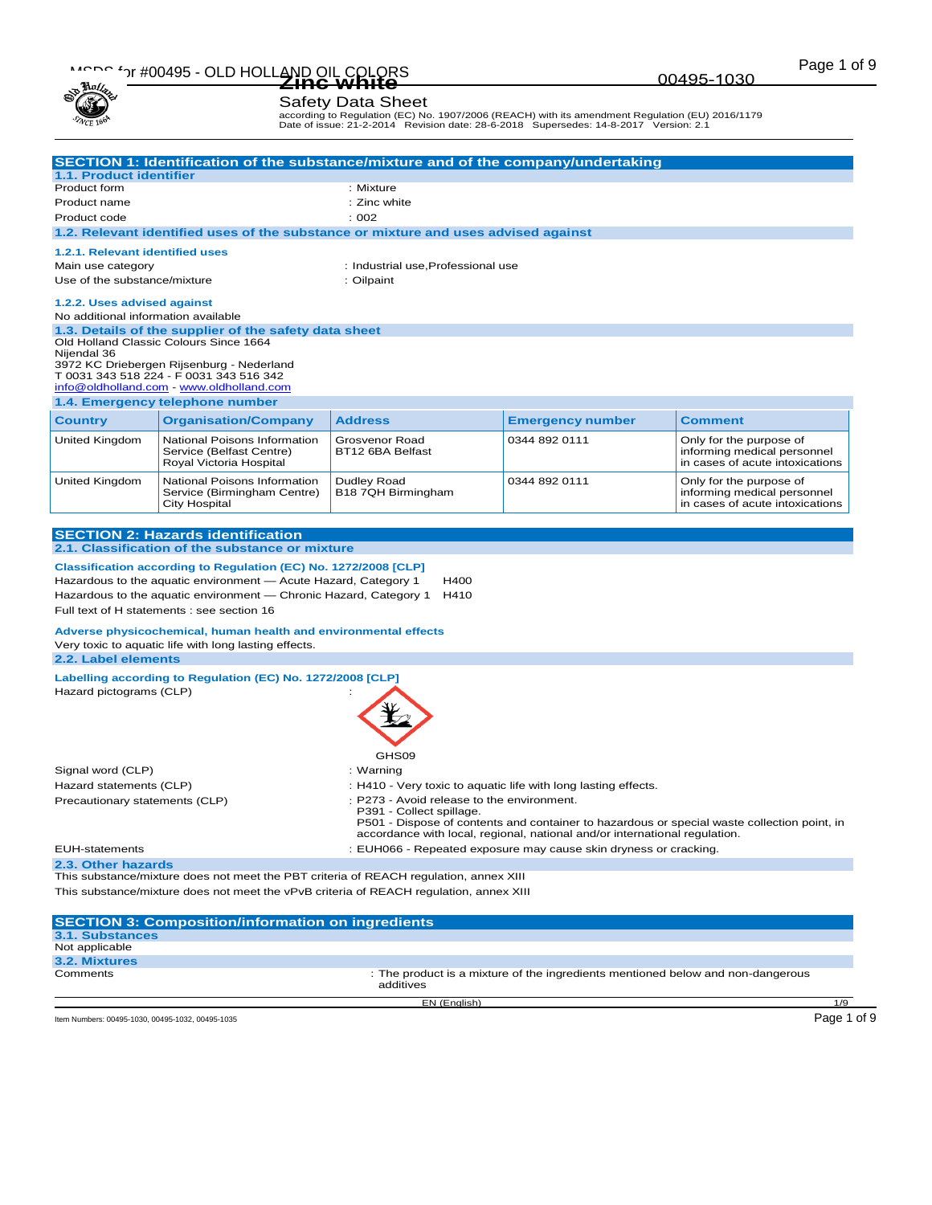| ۰., |
|-----|
|     |
|     |

according to Regulation (EC) No. 1907/2006 (REACH) with its amendment Regulation (EU) 2016/1179 Date of issue: 21-2-2014 Revision date: 28-6-2018 Supersedes: 14-8-2017 Version: 2.1

|                                                                                                                                                 | SECTION 1: Identification of the substance/mixture and of the company/undertaking                                                                                                                                                   |                                    |                                                                                                                                                                                                                                                     |                                                                                           |  |
|-------------------------------------------------------------------------------------------------------------------------------------------------|-------------------------------------------------------------------------------------------------------------------------------------------------------------------------------------------------------------------------------------|------------------------------------|-----------------------------------------------------------------------------------------------------------------------------------------------------------------------------------------------------------------------------------------------------|-------------------------------------------------------------------------------------------|--|
| <b>1.1. Product identifier</b>                                                                                                                  |                                                                                                                                                                                                                                     |                                    |                                                                                                                                                                                                                                                     |                                                                                           |  |
| Product form                                                                                                                                    | : Mixture                                                                                                                                                                                                                           |                                    |                                                                                                                                                                                                                                                     |                                                                                           |  |
| Product name                                                                                                                                    |                                                                                                                                                                                                                                     | : Zinc white                       |                                                                                                                                                                                                                                                     |                                                                                           |  |
| Product code                                                                                                                                    |                                                                                                                                                                                                                                     | : 002                              |                                                                                                                                                                                                                                                     |                                                                                           |  |
|                                                                                                                                                 | 1.2. Relevant identified uses of the substance or mixture and uses advised against                                                                                                                                                  |                                    |                                                                                                                                                                                                                                                     |                                                                                           |  |
| 1.2.1. Relevant identified uses                                                                                                                 |                                                                                                                                                                                                                                     |                                    |                                                                                                                                                                                                                                                     |                                                                                           |  |
| Main use category                                                                                                                               |                                                                                                                                                                                                                                     | : Industrial use, Professional use |                                                                                                                                                                                                                                                     |                                                                                           |  |
| Use of the substance/mixture                                                                                                                    |                                                                                                                                                                                                                                     | : Oilpaint                         |                                                                                                                                                                                                                                                     |                                                                                           |  |
| 1.2.2. Uses advised against<br>No additional information available                                                                              |                                                                                                                                                                                                                                     |                                    |                                                                                                                                                                                                                                                     |                                                                                           |  |
| Nijendal 36                                                                                                                                     | 1.3. Details of the supplier of the safety data sheet<br>Old Holland Classic Colours Since 1664<br>3972 KC Driebergen Rijsenburg - Nederland<br>T 0031 343 518 224 - F 0031 343 516 342<br>info@oldholland.com - www.oldholland.com |                                    |                                                                                                                                                                                                                                                     |                                                                                           |  |
|                                                                                                                                                 | 1.4. Emergency telephone number                                                                                                                                                                                                     |                                    |                                                                                                                                                                                                                                                     |                                                                                           |  |
| <b>Country</b>                                                                                                                                  | <b>Organisation/Company</b>                                                                                                                                                                                                         | <b>Address</b>                     | <b>Emergency number</b>                                                                                                                                                                                                                             | <b>Comment</b>                                                                            |  |
| United Kingdom                                                                                                                                  | National Poisons Information<br>Service (Belfast Centre)<br>Royal Victoria Hospital                                                                                                                                                 | Grosvenor Road<br>BT12 6BA Belfast | 0344 892 0111                                                                                                                                                                                                                                       | Only for the purpose of<br>informing medical personnel<br>in cases of acute intoxications |  |
| United Kingdom                                                                                                                                  | National Poisons Information<br>Service (Birmingham Centre)<br>City Hospital                                                                                                                                                        | Dudley Road<br>B18 7QH Birmingham  | 0344 892 0111                                                                                                                                                                                                                                       | Only for the purpose of<br>informing medical personnel<br>in cases of acute intoxications |  |
|                                                                                                                                                 |                                                                                                                                                                                                                                     |                                    |                                                                                                                                                                                                                                                     |                                                                                           |  |
|                                                                                                                                                 | <b>SECTION 2: Hazards identification</b>                                                                                                                                                                                            |                                    |                                                                                                                                                                                                                                                     |                                                                                           |  |
|                                                                                                                                                 | 2.1. Classification of the substance or mixture                                                                                                                                                                                     |                                    |                                                                                                                                                                                                                                                     |                                                                                           |  |
|                                                                                                                                                 | Classification according to Regulation (EC) No. 1272/2008 [CLP]                                                                                                                                                                     |                                    |                                                                                                                                                                                                                                                     |                                                                                           |  |
|                                                                                                                                                 | Hazardous to the aquatic environment — Acute Hazard, Category 1                                                                                                                                                                     | H400<br>H410                       |                                                                                                                                                                                                                                                     |                                                                                           |  |
| Hazardous to the aquatic environment — Chronic Hazard, Category 1<br>Full text of H statements : see section 16                                 |                                                                                                                                                                                                                                     |                                    |                                                                                                                                                                                                                                                     |                                                                                           |  |
|                                                                                                                                                 |                                                                                                                                                                                                                                     |                                    |                                                                                                                                                                                                                                                     |                                                                                           |  |
| Adverse physicochemical, human health and environmental effects<br>Very toxic to aquatic life with long lasting effects.<br>2.2. Label elements |                                                                                                                                                                                                                                     |                                    |                                                                                                                                                                                                                                                     |                                                                                           |  |
| Labelling according to Regulation (EC) No. 1272/2008 [CLP]                                                                                      |                                                                                                                                                                                                                                     |                                    |                                                                                                                                                                                                                                                     |                                                                                           |  |
| Hazard pictograms (CLP)                                                                                                                         |                                                                                                                                                                                                                                     |                                    |                                                                                                                                                                                                                                                     |                                                                                           |  |
|                                                                                                                                                 |                                                                                                                                                                                                                                     | GHS09                              |                                                                                                                                                                                                                                                     |                                                                                           |  |
| Signal word (CLP)                                                                                                                               |                                                                                                                                                                                                                                     | : Warning                          |                                                                                                                                                                                                                                                     |                                                                                           |  |
| Hazard statements (CLP)                                                                                                                         |                                                                                                                                                                                                                                     |                                    | : H410 - Very toxic to aquatic life with long lasting effects.                                                                                                                                                                                      |                                                                                           |  |
| Precautionary statements (CLP)                                                                                                                  |                                                                                                                                                                                                                                     |                                    | : P273 - Avoid release to the environment.<br>P391 - Collect spillage.<br>P501 - Dispose of contents and container to hazardous or special waste collection point, in<br>accordance with local, regional, national and/or international regulation. |                                                                                           |  |
|                                                                                                                                                 |                                                                                                                                                                                                                                     |                                    |                                                                                                                                                                                                                                                     |                                                                                           |  |
| <b>EUH-statements</b>                                                                                                                           |                                                                                                                                                                                                                                     |                                    | : EUH066 - Repeated exposure may cause skin dryness or cracking.                                                                                                                                                                                    |                                                                                           |  |
| 2.3. Other hazards                                                                                                                              | This substance/mixture does not meet the PBT criteria of REACH regulation, annex XIII                                                                                                                                               |                                    |                                                                                                                                                                                                                                                     |                                                                                           |  |
|                                                                                                                                                 | This substance/mixture does not meet the vPvB criteria of REACH regulation, annex XIII                                                                                                                                              |                                    |                                                                                                                                                                                                                                                     |                                                                                           |  |
|                                                                                                                                                 | <b>SECTION 3: Composition/information on ingredients</b>                                                                                                                                                                            |                                    |                                                                                                                                                                                                                                                     |                                                                                           |  |
| <b>3.1. Substances</b>                                                                                                                          |                                                                                                                                                                                                                                     |                                    |                                                                                                                                                                                                                                                     |                                                                                           |  |
| Not applicable<br>3.2. Mixtures                                                                                                                 |                                                                                                                                                                                                                                     |                                    |                                                                                                                                                                                                                                                     |                                                                                           |  |

EN (English) 1/9 Item Numbers: 00495-1030, 00495-1032, 00495-1035 Page 1 of 9

00495-1030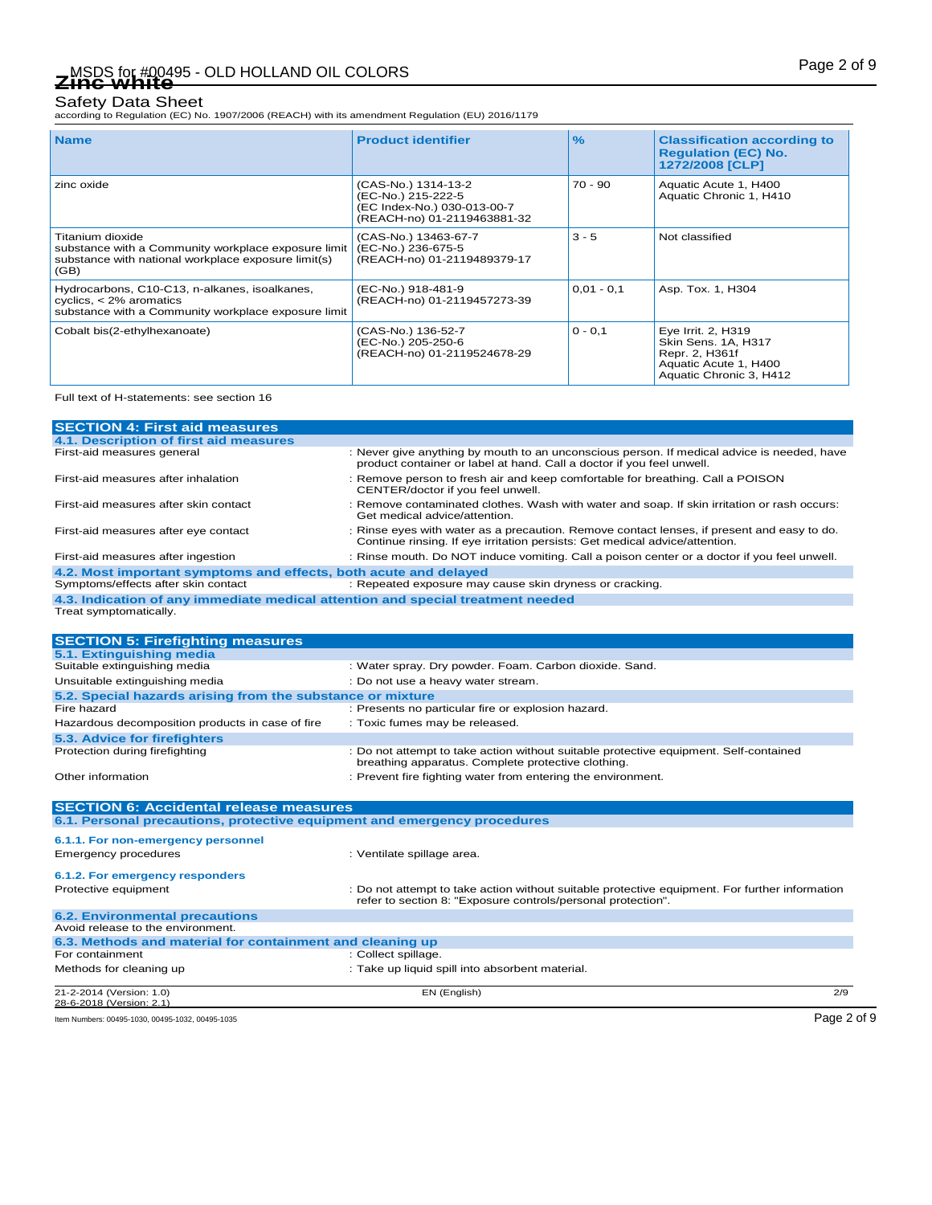according to Regulation (EC) No. 1907/2006 (REACH) with its amendment Regulation (EU) 2016/1179

| <b>Name</b>                                                                                                                            | <b>Product identifier</b>                                                                               | $\frac{9}{6}$ | <b>Classification according to</b><br><b>Regulation (EC) No.</b><br>1272/2008 [CLP]                             |
|----------------------------------------------------------------------------------------------------------------------------------------|---------------------------------------------------------------------------------------------------------|---------------|-----------------------------------------------------------------------------------------------------------------|
| zinc oxide                                                                                                                             | (CAS-No.) 1314-13-2<br>(EC-No.) 215-222-5<br>(EC Index-No.) 030-013-00-7<br>(REACH-no) 01-2119463881-32 | $70 - 90$     | Aquatic Acute 1, H400<br>Aquatic Chronic 1, H410                                                                |
| Titanium dioxide<br>substance with a Community workplace exposure limit<br>substance with national workplace exposure limit(s)<br>(GB) | (CAS-No.) 13463-67-7<br>(EC-No.) 236-675-5<br>(REACH-no) 01-2119489379-17                               | $3 - 5$       | Not classified                                                                                                  |
| Hydrocarbons, C10-C13, n-alkanes, isoalkanes,<br>cyclics, $<$ 2% aromatics<br>substance with a Community workplace exposure limit      | (EC-No.) 918-481-9<br>(REACH-no) 01-2119457273-39                                                       | $0,01 - 0,1$  | Asp. Tox. 1, H304                                                                                               |
| Cobalt bis(2-ethylhexanoate)                                                                                                           | (CAS-No.) 136-52-7<br>(EC-No.) 205-250-6<br>(REACH-no) 01-2119524678-29                                 | $0 - 0.1$     | Eye Irrit. 2, H319<br>Skin Sens. 1A, H317<br>Repr. 2, H361f<br>Aquatic Acute 1, H400<br>Aquatic Chronic 3, H412 |

Full text of H-statements: see section 16

| <b>SECTION 4: First aid measures</b>                                            |                                                                                                                                                                           |
|---------------------------------------------------------------------------------|---------------------------------------------------------------------------------------------------------------------------------------------------------------------------|
| 4.1. Description of first aid measures                                          |                                                                                                                                                                           |
| First-aid measures general                                                      | : Never give anything by mouth to an unconscious person. If medical advice is needed, have<br>product container or label at hand. Call a doctor if you feel unwell.       |
| First-aid measures after inhalation                                             | : Remove person to fresh air and keep comfortable for breathing. Call a POISON<br>CENTER/doctor if you feel unwell.                                                       |
| First-aid measures after skin contact                                           | : Remove contaminated clothes. Wash with water and soap. If skin irritation or rash occurs:<br>Get medical advice/attention.                                              |
| First-aid measures after eye contact                                            | : Rinse eyes with water as a precaution. Remove contact lenses, if present and easy to do.<br>Continue rinsing. If eye irritation persists: Get medical advice/attention. |
| First-aid measures after ingestion                                              | : Rinse mouth. Do NOT induce vomiting. Call a poison center or a doctor if you feel unwell.                                                                               |
| 4.2. Most important symptoms and effects, both acute and delayed                |                                                                                                                                                                           |
| Symptoms/effects after skin contact                                             | : Repeated exposure may cause skin dryness or cracking.                                                                                                                   |
| 4.3. Indication of any immediate medical attention and special treatment needed |                                                                                                                                                                           |
| Treat symptomatically.                                                          |                                                                                                                                                                           |
|                                                                                 |                                                                                                                                                                           |
| <b>SECTION 5: Firefighting measures</b>                                         |                                                                                                                                                                           |
| 5.1. Extinguishing media                                                        |                                                                                                                                                                           |
| Suitable extinguishing media                                                    | : Water spray. Dry powder. Foam. Carbon dioxide. Sand.                                                                                                                    |
| Unsuitable extinguishing media                                                  | : Do not use a heavy water stream.                                                                                                                                        |
| 5.2. Special hazards arising from the substance or mixture                      |                                                                                                                                                                           |
| Fire hazard                                                                     | : Presents no particular fire or explosion hazard.                                                                                                                        |
| Hazardous decomposition products in case of fire                                | : Toxic fumes may be released.                                                                                                                                            |
| 5.3 Advice for firefighters                                                     |                                                                                                                                                                           |

| Other information                                         | : Prevent fire fighting water from entering the environment.                                                                                                   |             |
|-----------------------------------------------------------|----------------------------------------------------------------------------------------------------------------------------------------------------------------|-------------|
|                                                           |                                                                                                                                                                |             |
| <b>SECTION 6: Accidental release measures</b>             | 6.1. Personal precautions, protective equipment and emergency procedures                                                                                       |             |
|                                                           |                                                                                                                                                                |             |
| 6.1.1. For non-emergency personnel                        |                                                                                                                                                                |             |
| Emergency procedures                                      | : Ventilate spillage area.                                                                                                                                     |             |
| 6.1.2. For emergency responders                           |                                                                                                                                                                |             |
| Protective equipment                                      | : Do not attempt to take action without suitable protective equipment. For further information<br>refer to section 8: "Exposure controls/personal protection". |             |
| <b>6.2. Environmental precautions</b>                     |                                                                                                                                                                |             |
| Avoid release to the environment.                         |                                                                                                                                                                |             |
| 6.3. Methods and material for containment and cleaning up |                                                                                                                                                                |             |
| For containment                                           | : Collect spillage.                                                                                                                                            |             |
| Methods for cleaning up                                   | : Take up liquid spill into absorbent material.                                                                                                                |             |
| 21-2-2014 (Version: 1.0)<br>28-6-2018 (Version: 2.1)      | EN (English)                                                                                                                                                   | 2/9         |
| Item Numbers: 00495-1030, 00495-1032, 00495-1035          |                                                                                                                                                                | Page 2 of 9 |

Protection during firefighting **interval to the contained** in Do not attempt to take action without suitable protective equipment. Self-contained breathing apparatus. Complete protective clothing.

**Protection during firefighting**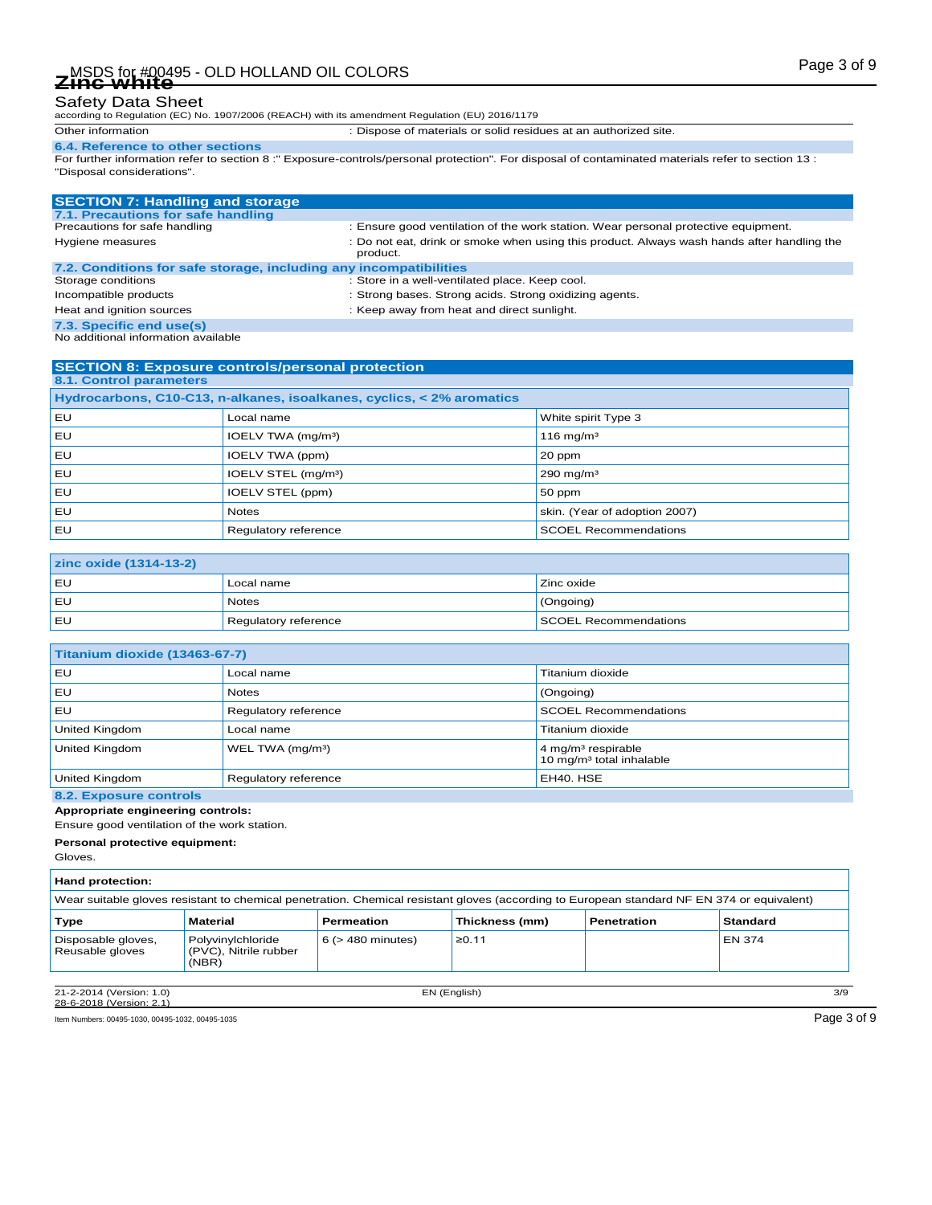according to Regulation (EC) No. 1907/2006 (REACH) with its amendment Regulation (EU) 2016/1179

Other information : Dispose of materials or solid residues at an authorized site.

**6.4. Reference to other sections** For further information refer to section 8 :" Exposure-controls/personal protection". For disposal of contaminated materials refer to section 13 : "Disposal considerations".

| <b>SECTION 7: Handling and storage</b>                            |                                                                                                        |
|-------------------------------------------------------------------|--------------------------------------------------------------------------------------------------------|
| 7.1. Precautions for safe handling                                |                                                                                                        |
| Precautions for safe handling                                     | : Ensure good ventilation of the work station. Wear personal protective equipment.                     |
| Hygiene measures                                                  | : Do not eat, drink or smoke when using this product. Always wash hands after handling the<br>product. |
| 7.2. Conditions for safe storage, including any incompatibilities |                                                                                                        |
| Storage conditions                                                | : Store in a well-ventilated place. Keep cool.                                                         |
| Incompatible products                                             | : Strong bases. Strong acids. Strong oxidizing agents.                                                 |
| Heat and ignition sources                                         | : Keep away from heat and direct sunlight.                                                             |
| 7.3. Specific end use(s)                                          |                                                                                                        |
| No additional information ovailable                               |                                                                                                        |

| <b>SECTION 8: Exposure controls/personal protection</b>               |                                 |                               |  |
|-----------------------------------------------------------------------|---------------------------------|-------------------------------|--|
| 8.1. Control parameters                                               |                                 |                               |  |
| Hydrocarbons, C10-C13, n-alkanes, isoalkanes, cyclics, < 2% aromatics |                                 |                               |  |
| EU                                                                    | Local name                      | White spirit Type 3           |  |
| EU                                                                    | IOELV TWA (mg/m <sup>3</sup> )  | 116 mg/m <sup>3</sup>         |  |
| EU                                                                    | IOELV TWA (ppm)                 | 20 ppm                        |  |
| EU                                                                    | IOELV STEL (mg/m <sup>3</sup> ) | 290 mg/m $3$                  |  |
| EU                                                                    | IOELV STEL (ppm)                | 50 ppm                        |  |
| EU                                                                    | <b>Notes</b>                    | skin. (Year of adoption 2007) |  |
| EU                                                                    | Regulatory reference            | <b>SCOEL Recommendations</b>  |  |

| zinc oxide (1314-13-2) |                      |                       |  |
|------------------------|----------------------|-----------------------|--|
| l EU                   | Local name           | Zinc oxide            |  |
| l EU                   | Notes                | (Ongoing)             |  |
| l EU                   | Regulatory reference | SCOEL Recommendations |  |

| Titanium dioxide (13463-67-7) |                              |                                                                        |  |
|-------------------------------|------------------------------|------------------------------------------------------------------------|--|
| EU                            | Local name                   | Titanium dioxide                                                       |  |
| EU                            | <b>Notes</b>                 | (Ongoing)                                                              |  |
| EU                            | Regulatory reference         | <b>SCOEL Recommendations</b>                                           |  |
| United Kingdom                | Local name                   | Titanium dioxide                                                       |  |
| United Kingdom                | WEL TWA (mg/m <sup>3</sup> ) | 4 mg/m <sup>3</sup> respirable<br>10 mg/m <sup>3</sup> total inhalable |  |
| United Kingdom                | Regulatory reference         | EH40. HSE                                                              |  |

### **8.2. Exposure controls**

**Appropriate engineering controls:**

Ensure good ventilation of the work station.

**Personal protective equipment:**

Gloves.

Г

| <b>Hand protection:</b>                                                                                                                    |                                                     |                        |                |             |                 |
|--------------------------------------------------------------------------------------------------------------------------------------------|-----------------------------------------------------|------------------------|----------------|-------------|-----------------|
| Wear suitable gloves resistant to chemical penetration. Chemical resistant gloves (according to European standard NF EN 374 or equivalent) |                                                     |                        |                |             |                 |
| Type                                                                                                                                       | Material                                            | <b>Permeation</b>      | Thickness (mm) | Penetration | <b>Standard</b> |
| Disposable gloves,<br>Reusable gloves                                                                                                      | Polyvinylchloride<br>(PVC), Nitrile rubber<br>(NBR) | $6$ ( $>$ 480 minutes) | ≥0.11          |             | EN 374          |
| 21-2-2014 (Version: 1.0)                                                                                                                   |                                                     |                        | EN (English)   |             | 3/9             |

28-6-2018 (Version: 2.1)

Item Numbers: 00495-1030, 00495-1032, 00495-1035 Page 3 of 9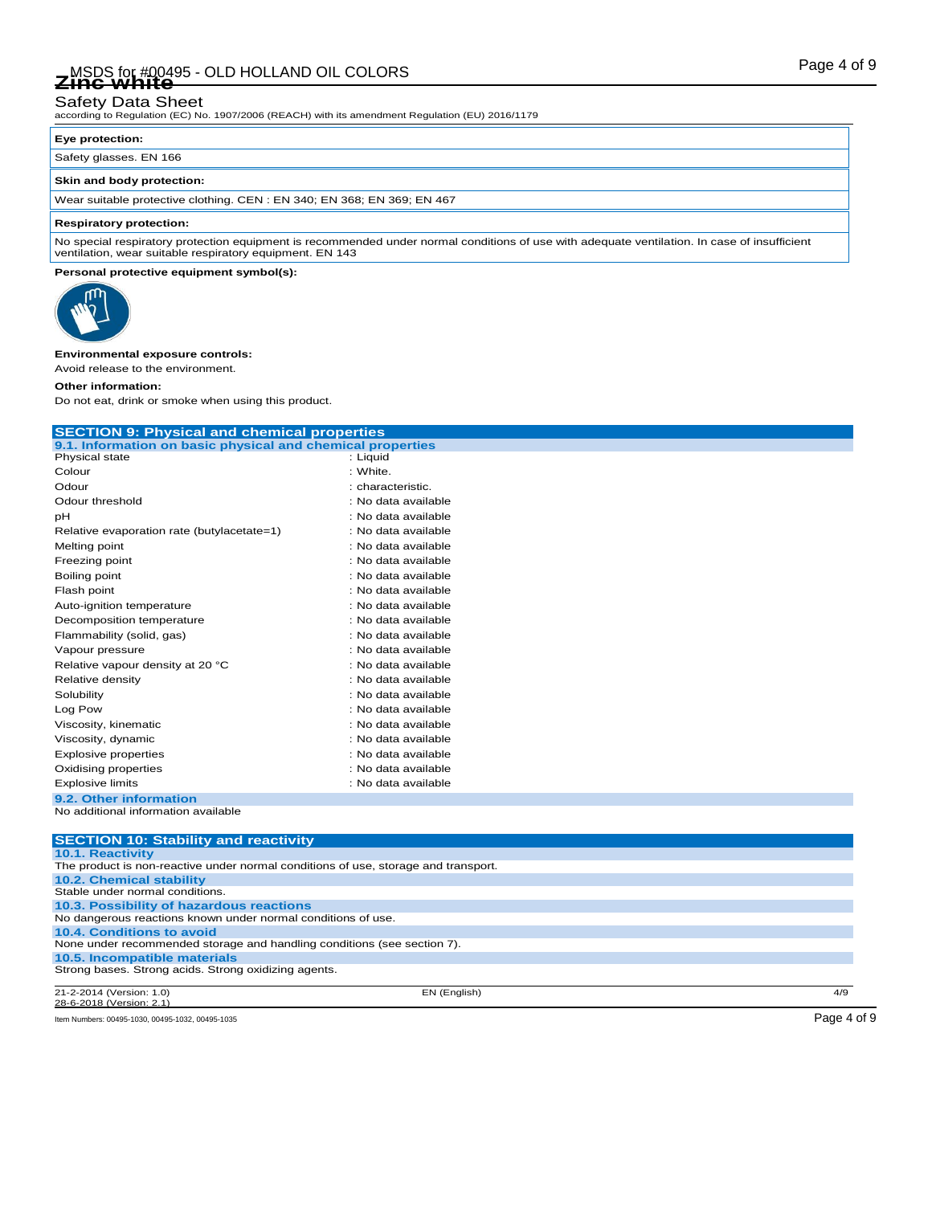# Page 4 of 9 MSDS for #00495 - OLD HOLLAND OIL COLORS **Zinc white**

# Safety Data Sheet

according to Regulation (EC) No. 1907/2006 (REACH) with its amendment Regulation (EU) 2016/1179

### **Eye protection:**

Safety glasses. EN 166

### **Skin and body protection:**

Wear suitable protective clothing. CEN : EN 340; EN 368; EN 369; EN 467

### **Respiratory protection:**

No special respiratory protection equipment is recommended under normal conditions of use with adequate ventilation. In case of insufficient ventilation, wear suitable respiratory equipment. EN 143

### **Personal protective equipment symbol(s):**



### **Environmental exposure controls:**

Avoid release to the environment.

### **Other information:**

Do not eat, drink or smoke when using this product.

| <b>SECTION 9: Physical and chemical properties</b>                                                                    |                     |  |  |
|-----------------------------------------------------------------------------------------------------------------------|---------------------|--|--|
| 9.1. Information on basic physical and chemical properties                                                            |                     |  |  |
| Physical state                                                                                                        | : Liguid            |  |  |
| Colour                                                                                                                | : White.            |  |  |
| Odour                                                                                                                 | : characteristic.   |  |  |
| Odour threshold                                                                                                       | : No data available |  |  |
| рH                                                                                                                    | : No data available |  |  |
| Relative evaporation rate (butylacetate=1)                                                                            | : No data available |  |  |
| Melting point                                                                                                         | : No data available |  |  |
| Freezing point                                                                                                        | : No data available |  |  |
| Boiling point                                                                                                         | : No data available |  |  |
| Flash point                                                                                                           | : No data available |  |  |
| Auto-ignition temperature                                                                                             | : No data available |  |  |
| Decomposition temperature                                                                                             | : No data available |  |  |
| Flammability (solid, gas)                                                                                             | : No data available |  |  |
| Vapour pressure                                                                                                       | : No data available |  |  |
| Relative vapour density at 20 °C                                                                                      | : No data available |  |  |
| Relative density                                                                                                      | : No data available |  |  |
| Solubility                                                                                                            | : No data available |  |  |
| Log Pow                                                                                                               | : No data available |  |  |
| Viscosity, kinematic                                                                                                  | : No data available |  |  |
| Viscosity, dynamic                                                                                                    | : No data available |  |  |
| <b>Explosive properties</b>                                                                                           | : No data available |  |  |
| Oxidising properties                                                                                                  | : No data available |  |  |
| <b>Explosive limits</b>                                                                                               | : No data available |  |  |
| 9.2. Other information                                                                                                |                     |  |  |
| No additional information available                                                                                   |                     |  |  |
|                                                                                                                       |                     |  |  |
| <b>SECTION 10: Stability and reactivity</b>                                                                           |                     |  |  |
| 10.1. Reactivity                                                                                                      |                     |  |  |
| The product is non-reactive under normal conditions of use, storage and transport.<br><b>10.2. Chemical stability</b> |                     |  |  |
| Stable under normal conditions.                                                                                       |                     |  |  |
| 10.3. Possibility of hazardous reactions                                                                              |                     |  |  |
| No dangerous reactions known under normal conditions of use.                                                          |                     |  |  |

None under recommended storage and handling conditions (see section 7). **10.5. Incompatible materials** Strong bases. Strong acids. Strong oxidizing agents.

21-2-2014 (Version: 1.0) EN (English) 4/9 28-6-2018 (Version:

Item Numbers: 00495-1030, 00495-1032, 00495-1035 Page 4 of 9

**10.4. Conditions to avoid**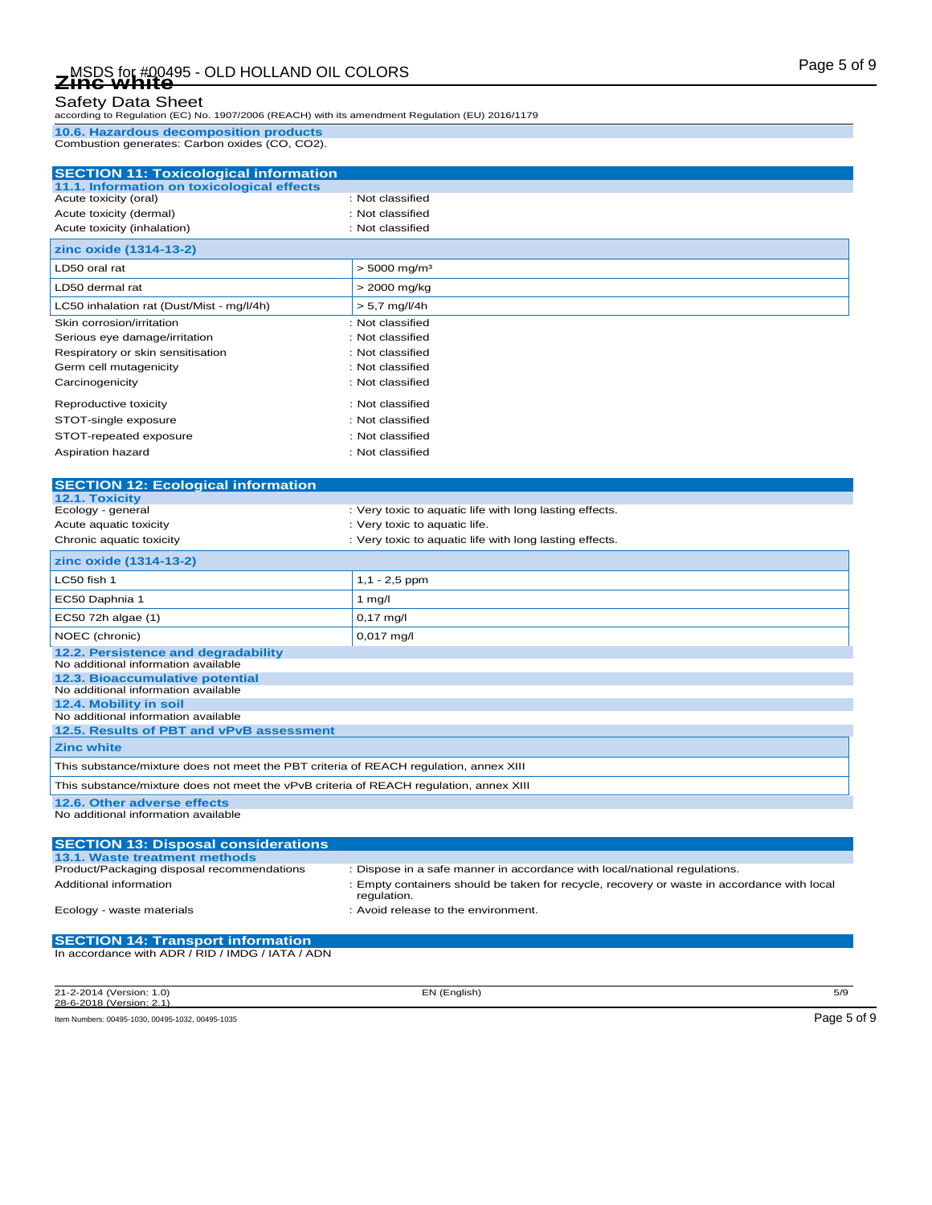according to Regulation (EC) No. 1907/2006 (REACH) with its amendment Regulation (EU) 2016/1179

**10.6. Hazardous decomposition products** Combustion generates: Carbon oxides (CO, CO2).

| <b>SECTION 11: Toxicological information</b>                        |                                                         |
|---------------------------------------------------------------------|---------------------------------------------------------|
| 11.1. Information on toxicological effects<br>Acute toxicity (oral) | : Not classified                                        |
|                                                                     | : Not classified                                        |
| Acute toxicity (dermal)                                             |                                                         |
| Acute toxicity (inhalation)                                         | : Not classified                                        |
| zinc oxide (1314-13-2)                                              |                                                         |
| LD50 oral rat                                                       | $> 5000$ mg/m <sup>3</sup>                              |
| LD50 dermal rat                                                     | > 2000 mg/kg                                            |
| LC50 inhalation rat (Dust/Mist - mg/l/4h)                           | $> 5.7$ mg/l/4h                                         |
| Skin corrosion/irritation                                           | : Not classified                                        |
| Serious eye damage/irritation                                       | : Not classified                                        |
| Respiratory or skin sensitisation                                   | : Not classified                                        |
| Germ cell mutagenicity                                              | : Not classified                                        |
| Carcinogenicity                                                     | : Not classified                                        |
| Reproductive toxicity                                               | : Not classified                                        |
| STOT-single exposure                                                | : Not classified                                        |
| STOT-repeated exposure                                              | : Not classified                                        |
| Aspiration hazard                                                   | : Not classified                                        |
|                                                                     |                                                         |
| <b>SECTION 12: Ecological information</b>                           |                                                         |
| 12.1. Toxicity                                                      |                                                         |
| Ecology - general                                                   | : Very toxic to aquatic life with long lasting effects. |
| Acute aquatic toxicity                                              | : Very toxic to aquatic life.                           |
| Chronic aquatic toxicity                                            | : Very toxic to aquatic life with long lasting effects. |
| zinc oxide (1314-13-2)                                              |                                                         |
| LC50 fish 1                                                         | $1,1 - 2,5$ ppm                                         |
| EC50 Daphnia 1                                                      | 1 $mg/l$                                                |
| EC50 72h algae (1)                                                  | $0,17$ mg/l                                             |
| NOEC (chronic)                                                      | $0,017$ mg/l                                            |
| 12.2. Persistence and degradability                                 |                                                         |
| No additional information available                                 |                                                         |
| 12.3. Bioaccumulative potential                                     |                                                         |
| No additional information available<br>12.4. Mobility in soil       |                                                         |
| No additional information available                                 |                                                         |
| 12.5. Results of PBT and vPvB assessment                            |                                                         |
| <b>Zinc white</b>                                                   |                                                         |

This substance/mixture does not meet the vPvB criteria of REACH regulation, annex XIII

This substance/mixture does not meet the PBT criteria of REACH regulation, annex XIII

**12.6. Other adverse effects**

No additional information available

| <b>SECTION 13: Disposal considerations</b>       |                                                                                                           |
|--------------------------------------------------|-----------------------------------------------------------------------------------------------------------|
| 13.1. Waste treatment methods                    |                                                                                                           |
| Product/Packaging disposal recommendations       | : Dispose in a safe manner in accordance with local/national regulations.                                 |
| Additional information                           | : Empty containers should be taken for recycle, recovery or waste in accordance with local<br>regulation. |
| Ecology - waste materials                        | : Avoid release to the environment.                                                                       |
| <b>SECTION 14: Transport information</b>         |                                                                                                           |
| In accordance with ADR / RID / IMDG / IATA / ADN |                                                                                                           |

21-2-2014 (Version: 1.0) EN (English) 5/9 28-6-2018 (Version: 2.1)

Item Numbers: 00495-1030, 00495-1032, 00495-1035 Page 5 of 9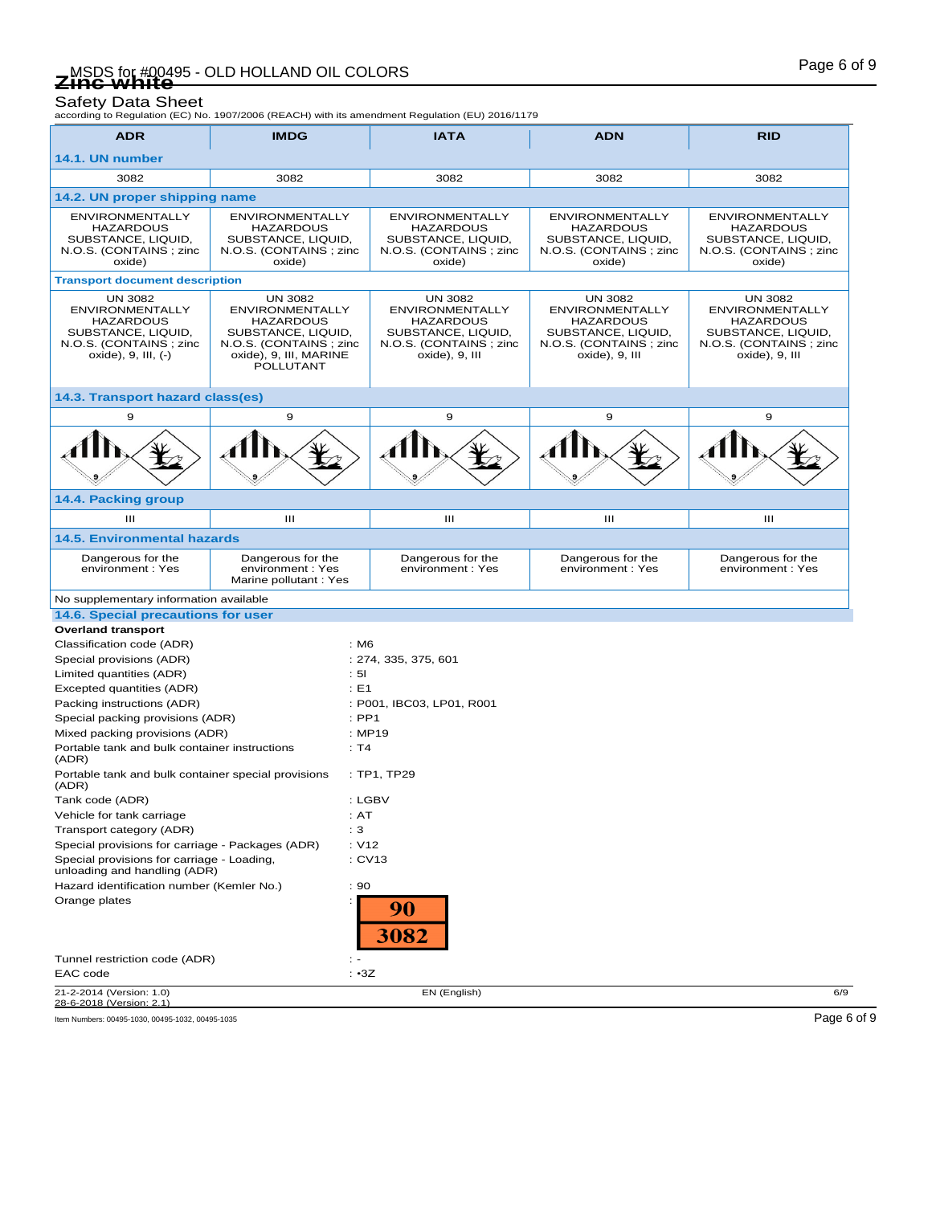Safety Data Sheet<br>according to Regulation (EC) No. 1907/2006 (REACH) with its amendment Regulation (EU) 2016/1179

| <b>ADR</b>                                                                                                                          | <b>IMDG</b>                                                                                                                                          | <b>IATA</b>                                                                                                                    | <b>ADN</b>                                                                                                                      | <b>RID</b>                                                                                                                     |
|-------------------------------------------------------------------------------------------------------------------------------------|------------------------------------------------------------------------------------------------------------------------------------------------------|--------------------------------------------------------------------------------------------------------------------------------|---------------------------------------------------------------------------------------------------------------------------------|--------------------------------------------------------------------------------------------------------------------------------|
| 14.1. UN number                                                                                                                     |                                                                                                                                                      |                                                                                                                                |                                                                                                                                 |                                                                                                                                |
| 3082                                                                                                                                | 3082                                                                                                                                                 | 3082                                                                                                                           | 3082                                                                                                                            | 3082                                                                                                                           |
| 14.2. UN proper shipping name                                                                                                       |                                                                                                                                                      |                                                                                                                                |                                                                                                                                 |                                                                                                                                |
|                                                                                                                                     |                                                                                                                                                      |                                                                                                                                |                                                                                                                                 |                                                                                                                                |
| <b>ENVIRONMENTALLY</b><br><b>HAZARDOUS</b><br>SUBSTANCE, LIQUID,<br>N.O.S. (CONTAINS; zinc<br>oxide)                                | <b>ENVIRONMENTALLY</b><br><b>HAZARDOUS</b><br>SUBSTANCE, LIQUID,<br>N.O.S. (CONTAINS; zinc.<br>oxide)                                                | <b>ENVIRONMENTALLY</b><br><b>HAZARDOUS</b><br>SUBSTANCE, LIQUID,<br>N.O.S. (CONTAINS; zinc<br>oxide)                           | <b>ENVIRONMENTALLY</b><br><b>HAZARDOUS</b><br>SUBSTANCE, LIQUID,<br>N.O.S. (CONTAINS; zinc.<br>oxide)                           | <b>ENVIRONMENTALLY</b><br><b>HAZARDOUS</b><br>SUBSTANCE, LIQUID,<br>N.O.S. (CONTAINS; zinc<br>oxide)                           |
| <b>Transport document description</b>                                                                                               |                                                                                                                                                      |                                                                                                                                |                                                                                                                                 |                                                                                                                                |
| <b>UN 3082</b><br><b>ENVIRONMENTALLY</b><br><b>HAZARDOUS</b><br>SUBSTANCE, LIQUID,<br>N.O.S. (CONTAINS; zinc<br>oxide), 9, III, (-) | <b>UN 3082</b><br><b>ENVIRONMENTALLY</b><br><b>HAZARDOUS</b><br>SUBSTANCE, LIQUID,<br>N.O.S. (CONTAINS; zinc.<br>oxide), 9, III, MARINE<br>POLLUTANT | <b>UN 3082</b><br><b>ENVIRONMENTALLY</b><br><b>HAZARDOUS</b><br>SUBSTANCE, LIQUID.<br>N.O.S. (CONTAINS; zinc<br>oxide), 9, III | <b>UN 3082</b><br><b>ENVIRONMENTALLY</b><br><b>HAZARDOUS</b><br>SUBSTANCE, LIQUID,<br>N.O.S. (CONTAINS; zinc.<br>oxide), 9, III | <b>UN 3082</b><br><b>ENVIRONMENTALLY</b><br><b>HAZARDOUS</b><br>SUBSTANCE, LIQUID,<br>N.O.S. (CONTAINS; zinc<br>oxide), 9, III |
| 14.3. Transport hazard class(es)                                                                                                    |                                                                                                                                                      |                                                                                                                                |                                                                                                                                 |                                                                                                                                |
| 9                                                                                                                                   | 9                                                                                                                                                    | 9                                                                                                                              | 9                                                                                                                               | 9                                                                                                                              |
|                                                                                                                                     |                                                                                                                                                      |                                                                                                                                |                                                                                                                                 |                                                                                                                                |
| 14.4. Packing group                                                                                                                 |                                                                                                                                                      |                                                                                                                                |                                                                                                                                 |                                                                                                                                |
| $\mathbf{III}$                                                                                                                      | Ш                                                                                                                                                    | Ш                                                                                                                              | Ш                                                                                                                               | Ш                                                                                                                              |
| <b>14.5. Environmental hazards</b>                                                                                                  |                                                                                                                                                      |                                                                                                                                |                                                                                                                                 |                                                                                                                                |
| Dangerous for the<br>environment: Yes                                                                                               | Dangerous for the<br>environment: Yes<br>Marine pollutant: Yes                                                                                       | Dangerous for the<br>environment: Yes                                                                                          | Dangerous for the<br>environment: Yes                                                                                           | Dangerous for the<br>environment: Yes                                                                                          |
| No supplementary information available                                                                                              |                                                                                                                                                      |                                                                                                                                |                                                                                                                                 |                                                                                                                                |
| 14.6. Special precautions for user                                                                                                  |                                                                                                                                                      |                                                                                                                                |                                                                                                                                 |                                                                                                                                |
| <b>Overland transport</b>                                                                                                           |                                                                                                                                                      |                                                                                                                                |                                                                                                                                 |                                                                                                                                |
| Classification code (ADR)                                                                                                           |                                                                                                                                                      | : M6                                                                                                                           |                                                                                                                                 |                                                                                                                                |
| Special provisions (ADR)                                                                                                            |                                                                                                                                                      | : 274, 335, 375, 601                                                                                                           |                                                                                                                                 |                                                                                                                                |
| Limited quantities (ADR)                                                                                                            |                                                                                                                                                      | : 51                                                                                                                           |                                                                                                                                 |                                                                                                                                |
| Excepted quantities (ADR)                                                                                                           |                                                                                                                                                      | $\div$ E1                                                                                                                      |                                                                                                                                 |                                                                                                                                |
| Packing instructions (ADR)                                                                                                          |                                                                                                                                                      | : P001, IBC03, LP01, R001                                                                                                      |                                                                                                                                 |                                                                                                                                |
| Special packing provisions (ADR)                                                                                                    |                                                                                                                                                      | $:$ PP1                                                                                                                        |                                                                                                                                 |                                                                                                                                |
| Mixed packing provisions (ADR)                                                                                                      |                                                                                                                                                      | : MP19                                                                                                                         |                                                                                                                                 |                                                                                                                                |
| Portable tank and bulk container instructions<br>(ADR)                                                                              |                                                                                                                                                      | : T4                                                                                                                           |                                                                                                                                 |                                                                                                                                |
| Portable tank and bulk container special provisions<br>(ADR)                                                                        |                                                                                                                                                      | :TP1,TP29                                                                                                                      |                                                                                                                                 |                                                                                                                                |
| Tank code (ADR)                                                                                                                     |                                                                                                                                                      | : LGBV                                                                                                                         |                                                                                                                                 |                                                                                                                                |
| Vehicle for tank carriage                                                                                                           |                                                                                                                                                      | : AT                                                                                                                           |                                                                                                                                 |                                                                                                                                |
| Transport category (ADR)                                                                                                            |                                                                                                                                                      | : 3                                                                                                                            |                                                                                                                                 |                                                                                                                                |
| Special provisions for carriage - Packages (ADR)                                                                                    |                                                                                                                                                      | : V12                                                                                                                          |                                                                                                                                 |                                                                                                                                |
| Special provisions for carriage - Loading,<br>unloading and handling (ADR)                                                          |                                                                                                                                                      | : CV13                                                                                                                         |                                                                                                                                 |                                                                                                                                |
| Hazard identification number (Kemler No.)                                                                                           |                                                                                                                                                      | : 90                                                                                                                           |                                                                                                                                 |                                                                                                                                |
| Orange plates                                                                                                                       |                                                                                                                                                      | 90                                                                                                                             |                                                                                                                                 |                                                                                                                                |
|                                                                                                                                     |                                                                                                                                                      | 3082                                                                                                                           |                                                                                                                                 |                                                                                                                                |
| Tunnel restriction code (ADR)                                                                                                       |                                                                                                                                                      | $\mathbb{R}$ =                                                                                                                 |                                                                                                                                 |                                                                                                                                |
| EAC code<br>21-2-2014 (Version: 1.0)                                                                                                |                                                                                                                                                      | : 3Z<br>EN (English)                                                                                                           |                                                                                                                                 | 6/9                                                                                                                            |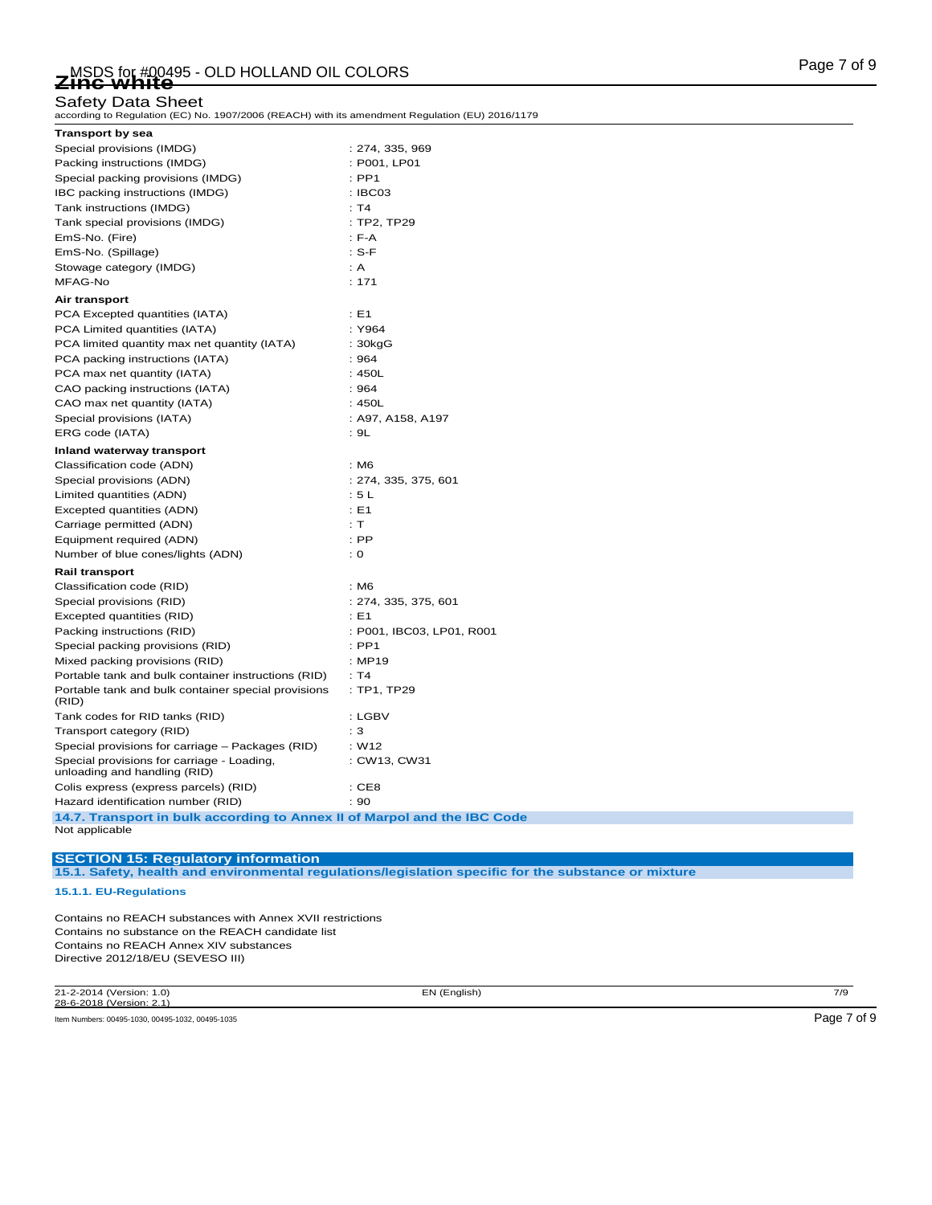according to Regulation (EC) No. 1907/2006 (REACH) with its amendment Regulation (EU) 2016/1179

| <b>Transport by sea</b>                                                                    |                           |
|--------------------------------------------------------------------------------------------|---------------------------|
| Special provisions (IMDG)                                                                  | : 274, 335, 969           |
| Packing instructions (IMDG)                                                                | : P001, LP01              |
| Special packing provisions (IMDG)                                                          | $:$ PP1                   |
| IBC packing instructions (IMDG)                                                            | : IBCO3                   |
| Tank instructions (IMDG)                                                                   | : T4                      |
| Tank special provisions (IMDG)                                                             | : TP2, TP29               |
| EmS-No. (Fire)                                                                             | $: F-A$                   |
| EmS-No. (Spillage)                                                                         | $: S-F$                   |
| Stowage category (IMDG)                                                                    | : A                       |
| MFAG-No                                                                                    | : 171                     |
| Air transport                                                                              |                           |
| PCA Excepted quantities (IATA)                                                             | : E1                      |
| PCA Limited quantities (IATA)                                                              | : Y964                    |
| PCA limited quantity max net quantity (IATA)                                               | : 30kgG                   |
| PCA packing instructions (IATA)                                                            | :964                      |
| PCA max net quantity (IATA)                                                                | :450L                     |
| CAO packing instructions (IATA)                                                            | : 964                     |
| CAO max net quantity (IATA)                                                                | :450L                     |
| Special provisions (IATA)                                                                  | : A97, A158, A197         |
| ERG code (IATA)                                                                            | : 9L                      |
| Inland waterway transport                                                                  |                           |
| Classification code (ADN)                                                                  | : M6                      |
| Special provisions (ADN)                                                                   | : 274, 335, 375, 601      |
| Limited quantities (ADN)                                                                   | : 5L                      |
| Excepted quantities (ADN)                                                                  | $\pm$ E1                  |
| Carriage permitted (ADN)                                                                   | : T                       |
| Equipment required (ADN)                                                                   | $:$ PP                    |
| Number of blue cones/lights (ADN)                                                          | : 0                       |
| Rail transport                                                                             |                           |
| Classification code (RID)                                                                  | : M6                      |
| Special provisions (RID)                                                                   | : 274, 335, 375, 601      |
| Excepted quantities (RID)                                                                  | : E1                      |
| Packing instructions (RID)                                                                 | : P001, IBC03, LP01, R001 |
| Special packing provisions (RID)                                                           | $:$ PP1                   |
| Mixed packing provisions (RID)                                                             | : MP19                    |
| Portable tank and bulk container instructions (RID)                                        | : T4                      |
| Portable tank and bulk container special provisions<br>(RID)                               | : TP1, TP29               |
| Tank codes for RID tanks (RID)                                                             | : LGBV                    |
| Transport category (RID)                                                                   | : 3                       |
| Special provisions for carriage - Packages (RID)                                           | : W12                     |
| Special provisions for carriage - Loading,<br>unloading and handling (RID)                 | : CW13, CW31              |
| Colis express (express parcels) (RID)                                                      | :CE8                      |
| Hazard identification number (RID)                                                         | : 90                      |
| 14.7. Transport in bulk according to Annex II of Marpol and the IBC Code<br>Not applicable |                           |

# **SECTION 15: Regulatory information**

**15.1. Safety, health and environmental regulations/legislation specific for the substance or mixture**

### **15.1.1. EU-Regulations**

Contains no REACH substances with Annex XVII restrictions Contains no substance on the REACH candidate list Contains no REACH Annex XIV substances Directive 2012/18/EU (SEVESO III)

21-2-2014 (Version: 1.0) EN (English) 7/9 28-6-2018 (Version: 2.1)

Item Numbers: 00495-1030, 00495-1032, 00495-1035 **Page 7 of 9**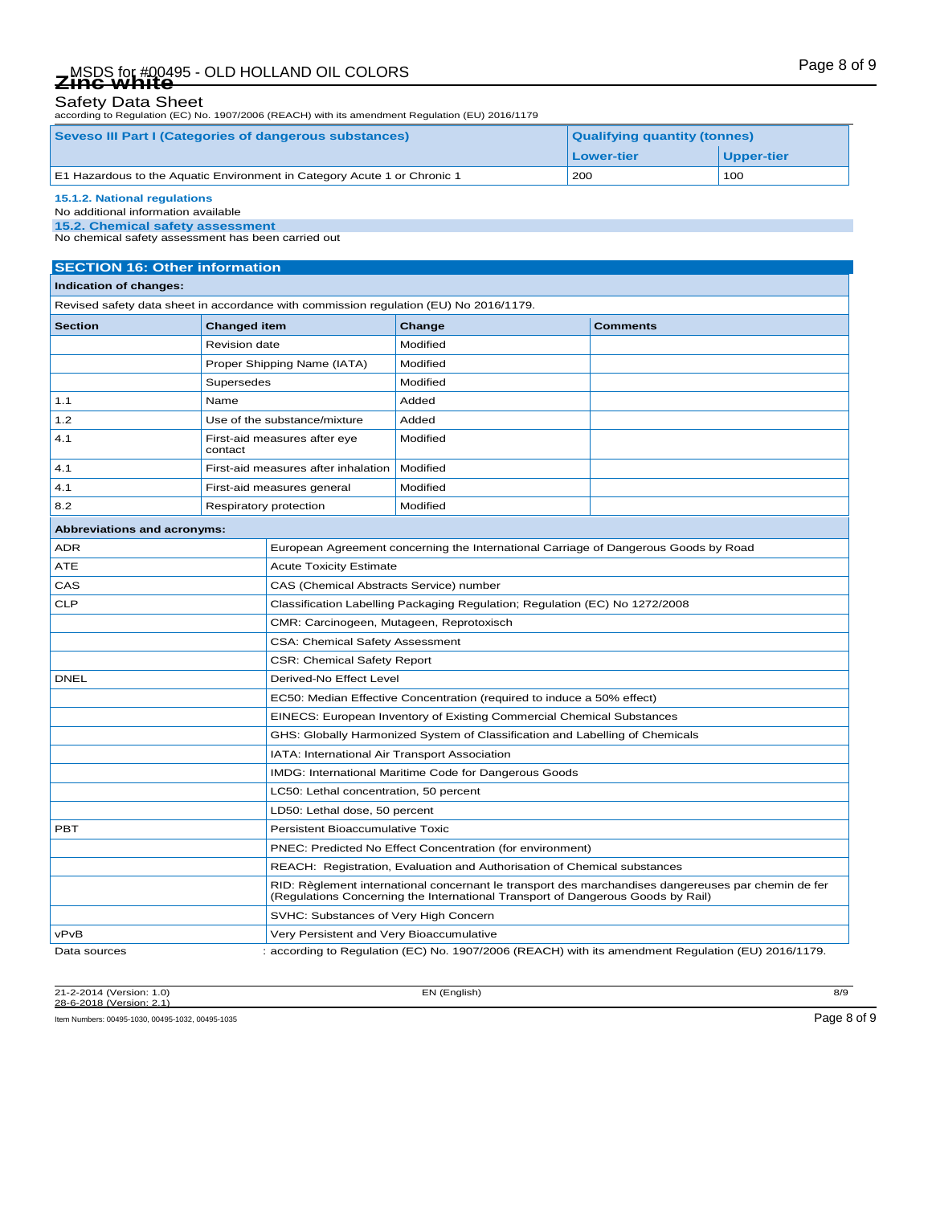# Page 8 of 9 MSDS for #00495 - OLD HOLLAND OIL COLORS **Zinc white**

# Safety Data Sheet

according to Regulation (EC) No. 1907/2006 (REACH) with its amendment Regulation (EU) 2016/1179

| <b>Seveso III Part I (Categories of dangerous substances)</b>            | <b>Qualifying quantity (tonnes)</b> |            |  |
|--------------------------------------------------------------------------|-------------------------------------|------------|--|
|                                                                          | Lower-tier                          | Upper-tier |  |
| E1 Hazardous to the Aquatic Environment in Category Acute 1 or Chronic 1 | 200                                 | 100        |  |
| 15.1.2. National regulations                                             |                                     |            |  |

### No additional information available

**15.2. Chemical safety assessment**

No chemical safety assessment has been carried out

# **SECTION 16: Other information**

### **Indication of changes:**

Revised safety data sheet in accordance with commission regulation (EU) No 2016/1179.

| <b>Section</b> | <b>Changed item</b>                     | Change   | <b>Comments</b> |
|----------------|-----------------------------------------|----------|-----------------|
|                | Revision date                           | Modified |                 |
|                | Proper Shipping Name (IATA)             | Modified |                 |
|                | Supersedes                              | Modified |                 |
| 1.1            | Name                                    | Added    |                 |
| 1.2            | Use of the substance/mixture            | Added    |                 |
| 4.1            | First-aid measures after eye<br>contact | Modified |                 |
| 4.1            | First-aid measures after inhalation     | Modified |                 |
| 4.1            | First-aid measures general              | Modified |                 |
| 8.2            | Respiratory protection                  | Modified |                 |

| Abbreviations and acronyms: |                                                                                                                                                                                        |
|-----------------------------|----------------------------------------------------------------------------------------------------------------------------------------------------------------------------------------|
| <b>ADR</b>                  | European Agreement concerning the International Carriage of Dangerous Goods by Road                                                                                                    |
| <b>ATE</b>                  | <b>Acute Toxicity Estimate</b>                                                                                                                                                         |
| CAS                         | CAS (Chemical Abstracts Service) number                                                                                                                                                |
| <b>CLP</b>                  | Classification Labelling Packaging Regulation; Regulation (EC) No 1272/2008                                                                                                            |
|                             | CMR: Carcinogeen, Mutageen, Reprotoxisch                                                                                                                                               |
|                             | <b>CSA: Chemical Safety Assessment</b>                                                                                                                                                 |
|                             | <b>CSR: Chemical Safety Report</b>                                                                                                                                                     |
| <b>DNEL</b>                 | Derived-No Effect Level                                                                                                                                                                |
|                             | EC50: Median Effective Concentration (required to induce a 50% effect)                                                                                                                 |
|                             | EINECS: European Inventory of Existing Commercial Chemical Substances                                                                                                                  |
|                             | GHS: Globally Harmonized System of Classification and Labelling of Chemicals                                                                                                           |
|                             | IATA: International Air Transport Association                                                                                                                                          |
|                             | IMDG: International Maritime Code for Dangerous Goods                                                                                                                                  |
|                             | LC50: Lethal concentration, 50 percent                                                                                                                                                 |
|                             | LD50: Lethal dose, 50 percent                                                                                                                                                          |
| <b>PBT</b>                  | <b>Persistent Bioaccumulative Toxic</b>                                                                                                                                                |
|                             | PNEC: Predicted No Effect Concentration (for environment)                                                                                                                              |
|                             | REACH: Registration, Evaluation and Authorisation of Chemical substances                                                                                                               |
|                             | RID: Règlement international concernant le transport des marchandises dangereuses par chemin de fer<br>(Regulations Concerning the International Transport of Dangerous Goods by Rail) |
|                             | SVHC: Substances of Very High Concern                                                                                                                                                  |
| vPvB                        | Very Persistent and Very Bioaccumulative                                                                                                                                               |
| Data sources                | : according to Regulation (EC) No. 1907/2006 (REACH) with its amendment Regulation (EU) 2016/1179.                                                                                     |

21-2-2014 (Version: 1.0) EN (English) 8/9 28-6-2018 (Version: 2.1) Item Numbers: 00495-1030, 00495-1032, 00495-1035 Page 8 of 9